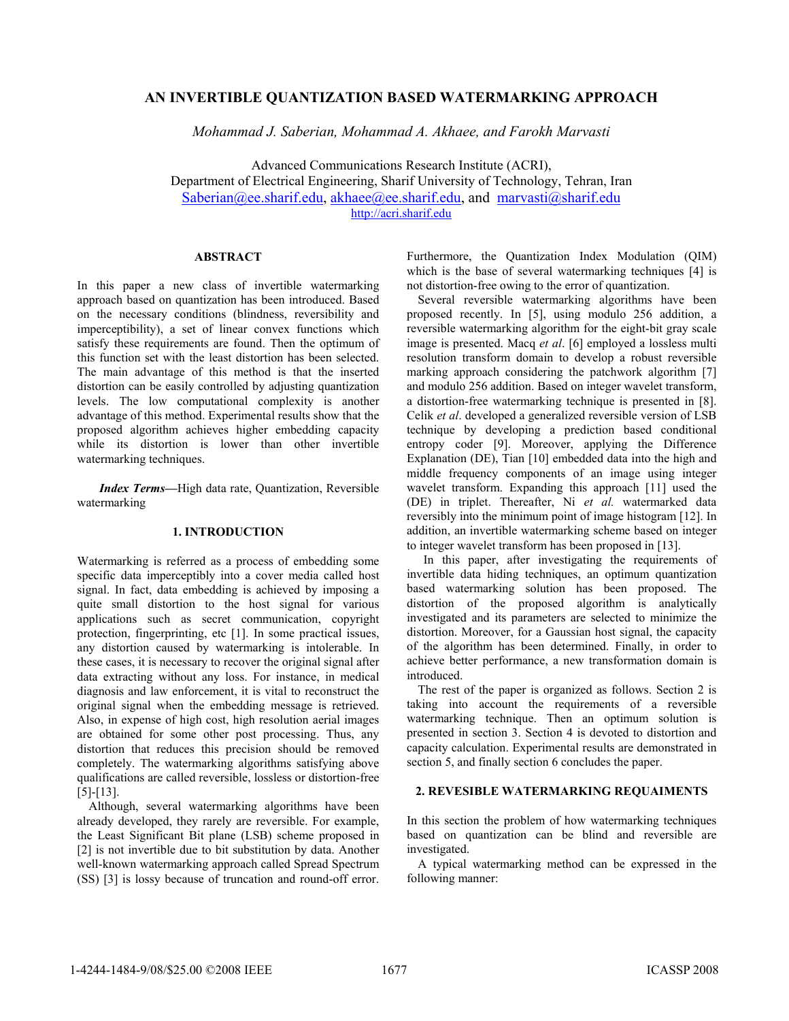## **AN INVERTIBLE QUANTIZATION BASED WATERMARKING APPROACH**

*Mohammad J. Saberian, Mohammad A. Akhaee, and Farokh Marvasti* 

Advanced Communications Research Institute (ACRI), Department of Electrical Engineering, Sharif University of Technology, Tehran, Iran Saberian@ee.sharif.edu, akhaee@ee.sharif.edu, and marvasti@sharif.edu http://acri.sharif.edu

# **ABSTRACT**

In this paper a new class of invertible watermarking approach based on quantization has been introduced. Based on the necessary conditions (blindness, reversibility and imperceptibility), a set of linear convex functions which satisfy these requirements are found. Then the optimum of this function set with the least distortion has been selected. The main advantage of this method is that the inserted distortion can be easily controlled by adjusting quantization levels. The low computational complexity is another advantage of this method. Experimental results show that the proposed algorithm achieves higher embedding capacity while its distortion is lower than other invertible watermarking techniques.

*Index Terms—*High data rate, Quantization, Reversible watermarking

## **1. INTRODUCTION**

Watermarking is referred as a process of embedding some specific data imperceptibly into a cover media called host signal. In fact, data embedding is achieved by imposing a quite small distortion to the host signal for various applications such as secret communication, copyright protection, fingerprinting, etc [1]. In some practical issues, any distortion caused by watermarking is intolerable. In these cases, it is necessary to recover the original signal after data extracting without any loss. For instance, in medical diagnosis and law enforcement, it is vital to reconstruct the original signal when the embedding message is retrieved. Also, in expense of high cost, high resolution aerial images are obtained for some other post processing. Thus, any distortion that reduces this precision should be removed completely. The watermarking algorithms satisfying above qualifications are called reversible, lossless or distortion-free [5]-[13].

Although, several watermarking algorithms have been already developed, they rarely are reversible. For example, the Least Significant Bit plane (LSB) scheme proposed in [2] is not invertible due to bit substitution by data. Another well-known watermarking approach called Spread Spectrum (SS) [3] is lossy because of truncation and round-off error.

Furthermore, the Quantization Index Modulation (QIM) which is the base of several watermarking techniques [4] is not distortion-free owing to the error of quantization.

Several reversible watermarking algorithms have been proposed recently. In [5], using modulo 256 addition, a reversible watermarking algorithm for the eight-bit gray scale image is presented. Macq *et al*. [6] employed a lossless multi resolution transform domain to develop a robust reversible marking approach considering the patchwork algorithm [7] and modulo 256 addition. Based on integer wavelet transform, a distortion-free watermarking technique is presented in [8]. Celik *et al*. developed a generalized reversible version of LSB technique by developing a prediction based conditional entropy coder [9]. Moreover, applying the Difference Explanation (DE), Tian [10] embedded data into the high and middle frequency components of an image using integer wavelet transform. Expanding this approach [11] used the (DE) in triplet. Thereafter, Ni *et al.* watermarked data reversibly into the minimum point of image histogram [12]. In addition, an invertible watermarking scheme based on integer to integer wavelet transform has been proposed in [13].

In this paper, after investigating the requirements of invertible data hiding techniques, an optimum quantization based watermarking solution has been proposed. The distortion of the proposed algorithm is analytically investigated and its parameters are selected to minimize the distortion. Moreover, for a Gaussian host signal, the capacity of the algorithm has been determined. Finally, in order to achieve better performance, a new transformation domain is introduced.

The rest of the paper is organized as follows. Section 2 is taking into account the requirements of a reversible watermarking technique. Then an optimum solution is presented in section 3. Section 4 is devoted to distortion and capacity calculation. Experimental results are demonstrated in section 5, and finally section 6 concludes the paper.

#### **2. REVESIBLE WATERMARKING REQUAIMENTS**

In this section the problem of how watermarking techniques based on quantization can be blind and reversible are investigated.

A typical watermarking method can be expressed in the following manner: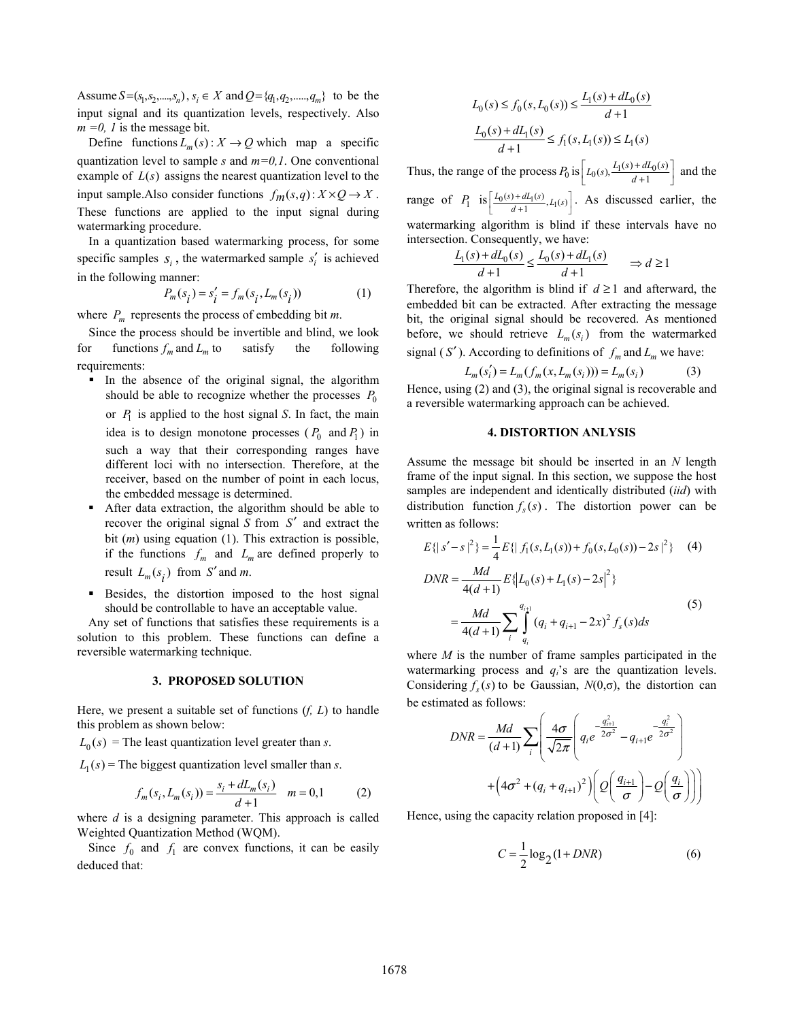Assume  $S = (s_1, s_2, ..., s_n)$ ,  $s_i \in X$  and  $Q = \{q_1, q_2, ..., q_m\}$  to be the input signal and its quantization levels, respectively. Also  $m = 0$ , *l* is the message bit.

Define functions  $L_m(s)$ :  $X \to Q$  which map a specific quantization level to sample *s* and *m=0,1*. One conventional example of  $L(s)$  assigns the nearest quantization level to the input sample. Also consider functions  $f_m(s,q)$  :  $X \times Q \rightarrow X$ . These functions are applied to the input signal during watermarking procedure.

In a quantization based watermarking process, for some specific samples  $s_i$ , the watermarked sample  $s'_i$  is achieved in the following manner:

$$
P_m(s_i) = s_i' = f_m(s_i, L_m(s_i))
$$
 (1)

where  $P_m$  represents the process of embedding bit *m*.

Since the process should be invertible and blind, we look for functions  $f_m$  and  $L_m$  to satisfy the following requirements:

- In the absence of the original signal, the algorithm should be able to recognize whether the processes  $P_0$ or  $P_1$  is applied to the host signal *S*. In fact, the main idea is to design monotone processes  $(P_0 \text{ and } P_1)$  in such a way that their corresponding ranges have different loci with no intersection. Therefore, at the receiver, based on the number of point in each locus, the embedded message is determined.
- After data extraction, the algorithm should be able to recover the original signal *S* from *S*′ and extract the bit (*m*) using equation (1). This extraction is possible, if the functions  $f_m$  and  $L_m$  are defined properly to result  $L_m(s_i)$  from *S'* and *m*.
- Besides, the distortion imposed to the host signal should be controllable to have an acceptable value.

 Any set of functions that satisfies these requirements is a solution to this problem. These functions can define a reversible watermarking technique.

### **3. PROPOSED SOLUTION**

Here, we present a suitable set of functions (*f, L*) to handle this problem as shown below:

 $L_0$  (s) = The least quantization level greater than *s*.

 $L_1(s)$  = The biggest quantization level smaller than *s*.

$$
f_m(s_i, L_m(s_i)) = \frac{s_i + dL_m(s_i)}{d+1} \quad m = 0,1 \tag{2}
$$

where *d* is a designing parameter. This approach is called Weighted Quantization Method (WQM).

Since  $f_0$  and  $f_1$  are convex functions, it can be easily deduced that:

$$
L_0(s) \le f_0(s, L_0(s)) \le \frac{L_1(s) + dL_0(s)}{d+1}
$$
  

$$
\frac{L_0(s) + dL_1(s)}{d+1} \le f_1(s, L_1(s)) \le L_1(s)
$$

Thus, the range of the process  $P_0$  is  $\left[ L_0(s), \frac{L_1(s) + dL_0(s)}{d+1} \right]$  and the range of  $P_1$  is  $\left[ \frac{L_0(s) + dL_1(s)}{d+1}, L_1(s) \right]$ . As discussed earlier, the watermarking algorithm is blind if these intervals have no intersection. Consequently, we have:

$$
\frac{L_1(s) + dL_0(s)}{d+1} \le \frac{L_0(s) + dL_1(s)}{d+1} \qquad \Rightarrow d \ge 1
$$

Therefore, the algorithm is blind if  $d \geq 1$  and afterward, the embedded bit can be extracted. After extracting the message bit, the original signal should be recovered. As mentioned before, we should retrieve  $L_m(s_i)$  from the watermarked signal ( $S'$ ). According to definitions of  $f_m$  and  $L_m$  we have:

$$
L_m(s_i') = L_m(f_m(x, L_m(s_i))) = L_m(s_i)
$$
 (3)

Hence, using (2) and (3), the original signal is recoverable and a reversible watermarking approach can be achieved.

### **4. DISTORTION ANLYSIS**

Assume the message bit should be inserted in an *N* length frame of the input signal. In this section, we suppose the host samples are independent and identically distributed (*iid*) with distribution function  $f_s(s)$ . The distortion power can be written as follows:

$$
E\{|s'-s|^2\} = \frac{1}{4}E\{|f_1(s, L_1(s)) + f_0(s, L_0(s)) - 2s|^2\}
$$
 (4)  
\n
$$
DNR = \frac{Md}{4(d+1)}E\{|L_0(s) + L_1(s) - 2s|^2\}
$$
  
\n
$$
= \frac{Md}{4(d+1)}\sum_{i}^{q_{i+1}}(q_i + q_{i+1} - 2x)^2 f_s(s)ds
$$
 (5)

where *M* is the number of frame samples participated in the watermarking process and  $q_i$ 's are the quantization levels. Considering  $f_s(s)$  to be Gaussian,  $N(0,\sigma)$ , the distortion can be estimated as follows:

$$
DNR = \frac{Md}{(d+1)} \sum_{i} \left( \frac{4\sigma}{\sqrt{2\pi}} \left( q_i e^{-\frac{q_{i+1}^2}{2\sigma^2}} - q_{i+1} e^{-\frac{q_i^2}{2\sigma^2}} \right) + \left( 4\sigma^2 + (q_i + q_{i+1})^2 \right) \left( Q \left( \frac{q_{i+1}}{\sigma} \right) - Q \left( \frac{q_i}{\sigma} \right) \right) \right)
$$

Hence, using the capacity relation proposed in [4]:

$$
C = \frac{1}{2} \log_2 (1 + DNR)
$$
 (6)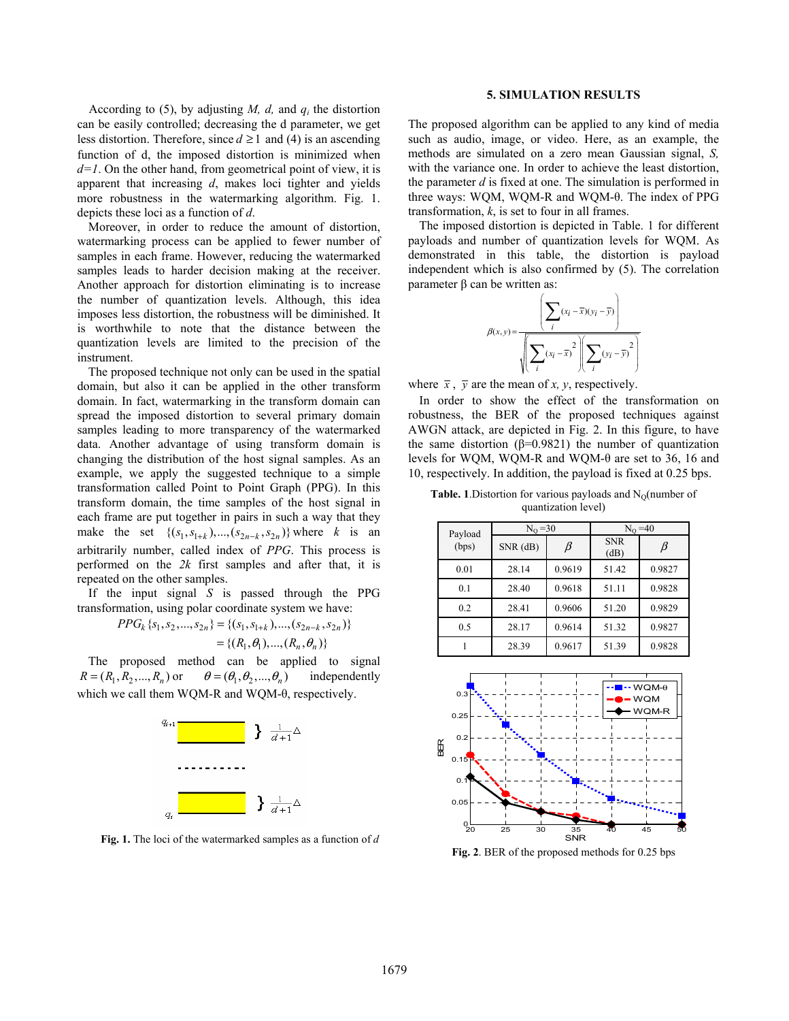According to (5), by adjusting *M, d,* and *qi* the distortion can be easily controlled; decreasing the d parameter, we get less distortion. Therefore, since  $d \ge 1$  and (4) is an ascending function of d, the imposed distortion is minimized when  $d=1$ . On the other hand, from geometrical point of view, it is apparent that increasing *d*, makes loci tighter and yields more robustness in the watermarking algorithm. Fig. 1. depicts these loci as a function of *d*.

Moreover, in order to reduce the amount of distortion, watermarking process can be applied to fewer number of samples in each frame. However, reducing the watermarked samples leads to harder decision making at the receiver. Another approach for distortion eliminating is to increase the number of quantization levels. Although, this idea imposes less distortion, the robustness will be diminished. It is worthwhile to note that the distance between the quantization levels are limited to the precision of the instrument.

The proposed technique not only can be used in the spatial domain, but also it can be applied in the other transform domain. In fact, watermarking in the transform domain can spread the imposed distortion to several primary domain samples leading to more transparency of the watermarked data. Another advantage of using transform domain is changing the distribution of the host signal samples. As an example, we apply the suggested technique to a simple transformation called Point to Point Graph (PPG). In this transform domain, the time samples of the host signal in each frame are put together in pairs in such a way that they make the set  $\{(s_1, s_{1+k}), ..., (s_{2n-k}, s_{2n})\}$  where *k* is an arbitrarily number, called index of *PPG*. This process is performed on the *2k* first samples and after that, it is repeated on the other samples.

If the input signal *S* is passed through the PPG transformation, using polar coordinate system we have:

$$
PPG_k \{s_1, s_2, ..., s_{2n}\} = \{(s_1, s_{1+k}), ..., (s_{2n-k}, s_{2n})\}
$$
  
= \{(R\_1, \theta\_1), ..., (R\_n, \theta\_n)\}

The proposed method can be applied to signal  $R = (R_1, R_2, \dots, R_n)$  or  $\theta = (\theta_1, \theta_2, \dots, \theta_n)$  independently which we call them WQM-R and WQM- $\theta$ , respectively.



**Fig. 1.** The loci of the watermarked samples as a function of *d*

### **5. SIMULATION RESULTS**

The proposed algorithm can be applied to any kind of media such as audio, image, or video. Here, as an example, the methods are simulated on a zero mean Gaussian signal, *S,* with the variance one. In order to achieve the least distortion, the parameter *d* is fixed at one. The simulation is performed in three ways: WQM, WQM-R and WQM- $\theta$ . The index of PPG transformation, *k*, is set to four in all frames.

The imposed distortion is depicted in Table. 1 for different payloads and number of quantization levels for WQM. As demonstrated in this table, the distortion is payload independent which is also confirmed by (5). The correlation parameter  $\beta$  can be written as:

$$
\beta(x, y) = \frac{\left(\sum_{i} (x_i - \overline{x})(y_i - \overline{y})\right)}{\sqrt{\left(\sum_{i} (x_i - \overline{x})^2 \right)\left(\sum_{i} (y_i - \overline{y})^2\right)}}
$$

where  $\bar{x}$ ,  $\bar{y}$  are the mean of *x*, *y*, respectively.

In order to show the effect of the transformation on robustness, the BER of the proposed techniques against AWGN attack, are depicted in Fig. 2. In this figure, to have the same distortion ( $\beta$ =0.9821) the number of quantization levels for WQM, WQM-R and WQM- $\theta$  are set to 36, 16 and 10, respectively. In addition, the payload is fixed at 0.25 bps.

**Table. 1**.Distortion for various payloads and  $N_0$ (number of quantization level)

| Payload<br>(bps) | $N_{O} = 30$ |        | $N_{\Omega} = 40$  |        |
|------------------|--------------|--------|--------------------|--------|
|                  | $SNR$ (dB)   | β      | <b>SNR</b><br>(dB) |        |
| 0.01             | 28.14        | 0.9619 | 51.42              | 0.9827 |
| 0.1              | 28.40        | 0.9618 | 51.11              | 0.9828 |
| 0.2              | 28.41        | 0.9606 | 51.20              | 0.9829 |
| 0.5              | 28.17        | 0.9614 | 51.32              | 0.9827 |
|                  | 28.39        | 0.9617 | 51.39              | 0.9828 |



**Fig. 2**. BER of the proposed methods for 0.25 bps